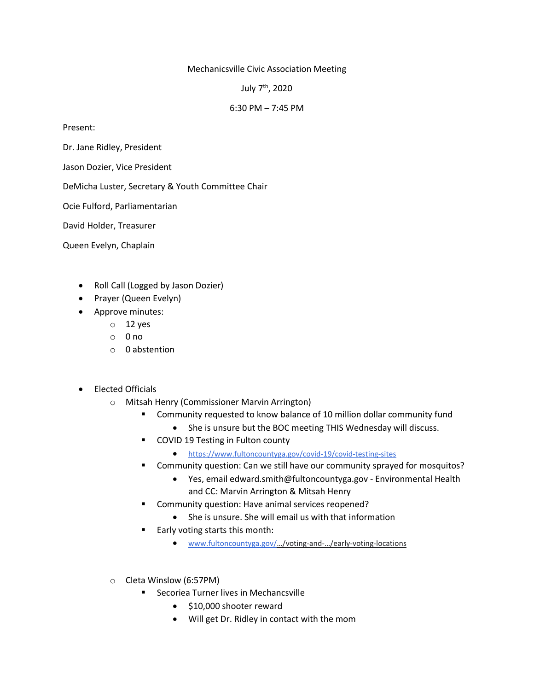## Mechanicsville Civic Association Meeting

July 7th, 2020

## 6:30 PM – 7:45 PM

Present:

Dr. Jane Ridley, President

Jason Dozier, Vice President

DeMicha Luster, Secretary & Youth Committee Chair

Ocie Fulford, Parliamentarian

David Holder, Treasurer

Queen Evelyn, Chaplain

- Roll Call (Logged by Jason Dozier)
- Prayer (Queen Evelyn)
- Approve minutes:
	- o 12 yes
	- $\circ$  0 no
	- o 0 abstention
- Elected Officials
	- o Mitsah Henry (Commissioner Marvin Arrington)
		- Community requested to know balance of 10 million dollar community fund
			- She is unsure but the BOC meeting THIS Wednesday will discuss.
		- COVID 19 Testing in Fulton county
			- [https://www.fultoncountyga.gov/covid-19/covid-testing-sites](https://meet.google.com/linkredirect?authuser=2&dest=https%3A%2F%2Fwww.fultoncountyga.gov%2Fcovid-19%2Fcovid-testing-sites)
		- Community question: Can we still have our community sprayed for mosquitos?
			- Yes, email edward.smith@fultoncountyga.gov Environmental Health and CC: Marvin Arrington & Mitsah Henry
		- Community question: Have animal services reopened?
			- She is unsure. She will email us with that information
		- Early voting starts this month:
			- [www.fultoncountyga.gov/](http://www.fultoncountyga.gov/…/voting-and-…/early-voting-locations)…/voting-and-…/early-voting-locations
	- o Cleta Winslow (6:57PM)
		- Secoriea Turner lives in Mechancsville
			- \$10,000 shooter reward
			- Will get Dr. Ridley in contact with the mom